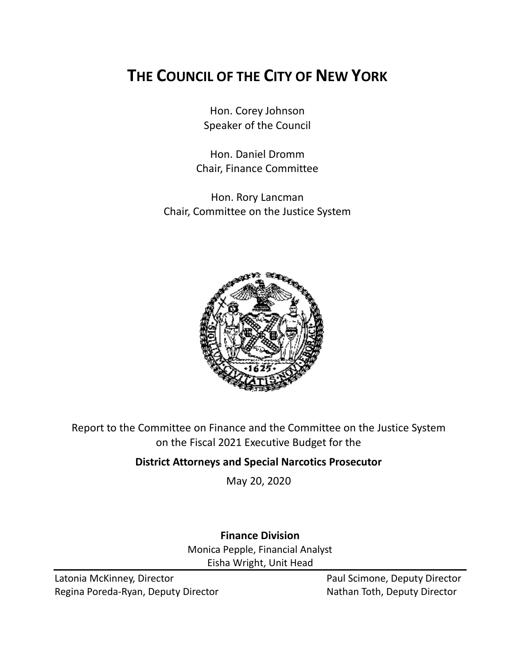# **THE COUNCIL OF THE CITY OF NEW YORK**

Hon. Corey Johnson Speaker of the Council

Hon. Daniel Dromm Chair, Finance Committee

Hon. Rory Lancman Chair, Committee on the Justice System



Report to the Committee on Finance and the Committee on the Justice System on the Fiscal 2021 Executive Budget for the

## **District Attorneys and Special Narcotics Prosecutor**

May 20, 2020

### **Finance Division** Monica Pepple, Financial Analyst Eisha Wright, Unit Head

Latonia McKinney, Director **Paul Scimone, Deputy Director** Paul Scimone, Deputy Director Regina Poreda-Ryan, Deputy Director Nathan Toth, Deputy Director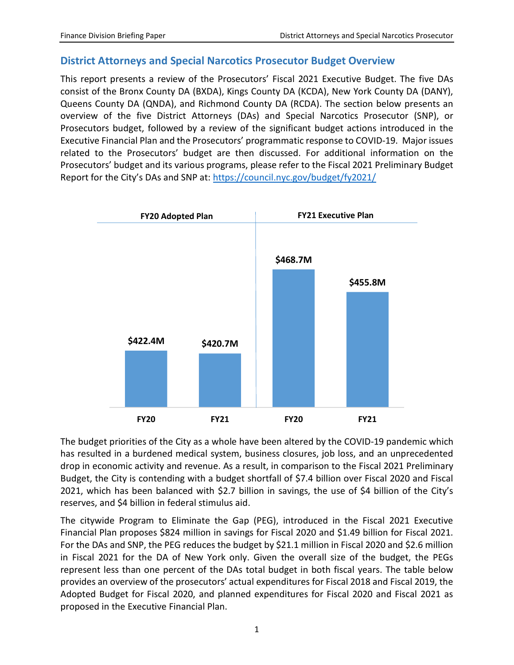#### **District Attorneys and Special Narcotics Prosecutor Budget Overview**

This report presents a review of the Prosecutors' Fiscal 2021 Executive Budget. The five DAs consist of the Bronx County DA (BXDA), Kings County DA (KCDA), New York County DA (DANY), Queens County DA (QNDA), and Richmond County DA (RCDA). The section below presents an overview of the five District Attorneys (DAs) and Special Narcotics Prosecutor (SNP), or Prosecutors budget, followed by a review of the significant budget actions introduced in the Executive Financial Plan and the Prosecutors' programmatic response to COVID-19. Major issues related to the Prosecutors' budget are then discussed. For additional information on the Prosecutors' budget and its various programs, please refer to the Fiscal 2021 Preliminary Budget Report for the City's DAs and SNP at:<https://council.nyc.gov/budget/fy2021/>



The budget priorities of the City as a whole have been altered by the COVID-19 pandemic which has resulted in a burdened medical system, business closures, job loss, and an unprecedented drop in economic activity and revenue. As a result, in comparison to the Fiscal 2021 Preliminary Budget, the City is contending with a budget shortfall of \$7.4 billion over Fiscal 2020 and Fiscal 2021, which has been balanced with \$2.7 billion in savings, the use of \$4 billion of the City's reserves, and \$4 billion in federal stimulus aid.

The citywide Program to Eliminate the Gap (PEG), introduced in the Fiscal 2021 Executive Financial Plan proposes \$824 million in savings for Fiscal 2020 and \$1.49 billion for Fiscal 2021. For the DAs and SNP, the PEG reduces the budget by \$21.1 million in Fiscal 2020 and \$2.6 million in Fiscal 2021 for the DA of New York only. Given the overall size of the budget, the PEGs represent less than one percent of the DAs total budget in both fiscal years. The table below provides an overview of the prosecutors' actual expenditures for Fiscal 2018 and Fiscal 2019, the Adopted Budget for Fiscal 2020, and planned expenditures for Fiscal 2020 and Fiscal 2021 as proposed in the Executive Financial Plan.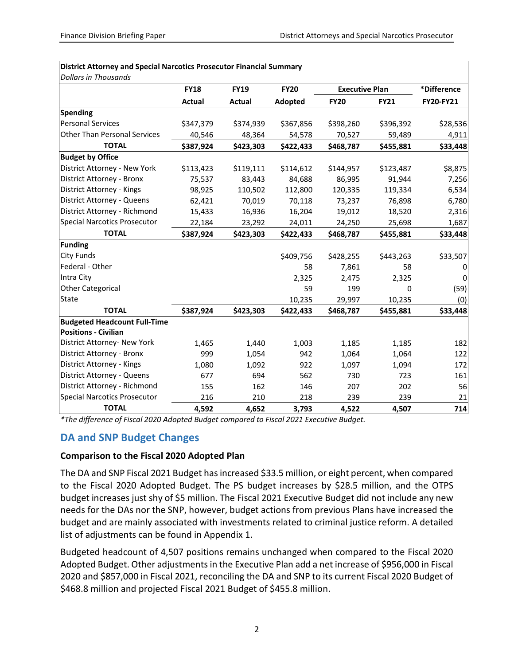|                                     | <b>FY18</b> | <b>FY19</b> | <b>FY20</b> | <b>Executive Plan</b> |             | *Difference      |
|-------------------------------------|-------------|-------------|-------------|-----------------------|-------------|------------------|
|                                     | Actual      | Actual      | Adopted     | <b>FY20</b>           | <b>FY21</b> | <b>FY20-FY21</b> |
| <b>Spending</b>                     |             |             |             |                       |             |                  |
| <b>Personal Services</b>            | \$347,379   | \$374,939   | \$367,856   | \$398,260             | \$396,392   | \$28,536         |
| <b>Other Than Personal Services</b> | 40,546      | 48,364      | 54,578      | 70,527                | 59,489      | 4,911            |
| <b>TOTAL</b>                        | \$387,924   | \$423,303   | \$422,433   | \$468,787             | \$455,881   | \$33,448         |
| <b>Budget by Office</b>             |             |             |             |                       |             |                  |
| District Attorney - New York        | \$113,423   | \$119,111   | \$114,612   | \$144,957             | \$123,487   | \$8,875          |
| District Attorney - Bronx           | 75,537      | 83,443      | 84,688      | 86,995                | 91,944      | 7,256            |
| District Attorney - Kings           | 98,925      | 110,502     | 112,800     | 120,335               | 119,334     | 6,534            |
| District Attorney - Queens          | 62,421      | 70,019      | 70,118      | 73,237                | 76,898      | 6,780            |
| District Attorney - Richmond        | 15,433      | 16,936      | 16,204      | 19,012                | 18,520      | 2,316            |
| <b>Special Narcotics Prosecutor</b> | 22,184      | 23,292      | 24,011      | 24,250                | 25,698      | 1,687            |
| <b>TOTAL</b>                        | \$387,924   | \$423,303   | \$422,433   | \$468,787             | \$455,881   | \$33,448         |
| <b>Funding</b>                      |             |             |             |                       |             |                  |
| <b>City Funds</b>                   |             |             | \$409,756   | \$428,255             | \$443,263   | \$33,507         |
| Federal - Other                     |             |             | 58          | 7,861                 | 58          | 0                |
| Intra City                          |             |             | 2,325       | 2,475                 | 2,325       | 0                |
| <b>Other Categorical</b>            |             |             | 59          | 199                   | $\mathbf 0$ | (59)             |
| State                               |             |             | 10,235      | 29,997                | 10,235      | (0)              |
| <b>TOTAL</b>                        | \$387,924   | \$423,303   | \$422,433   | \$468,787             | \$455,881   | \$33,448         |
| <b>Budgeted Headcount Full-Time</b> |             |             |             |                       |             |                  |
| <b>Positions - Civilian</b>         |             |             |             |                       |             |                  |
| District Attorney- New York         | 1,465       | 1,440       | 1,003       | 1,185                 | 1,185       | 182              |
| District Attorney - Bronx           | 999         | 1,054       | 942         | 1,064                 | 1,064       | 122              |
| District Attorney - Kings           | 1,080       | 1,092       | 922         | 1,097                 | 1,094       | 172              |
| District Attorney - Queens          | 677         | 694         | 562         | 730                   | 723         | 161              |
| District Attorney - Richmond        | 155         | 162         | 146         | 207                   | 202         | 56               |
| <b>Special Narcotics Prosecutor</b> | 216         | 210         | 218         | 239                   | 239         | 21               |
| <b>TOTAL</b>                        | 4,592       | 4,652       | 3,793       | 4,522                 | 4,507       | 714              |

#### **District Attorney and Special Narcotics Prosecutor Financial Summary**

*\*The difference of Fiscal 2020 Adopted Budget compared to Fiscal 2021 Executive Budget.*

#### **DA and SNP Budget Changes**

#### **Comparison to the Fiscal 2020 Adopted Plan**

The DA and SNP Fiscal 2021 Budget has increased \$33.5 million, or eight percent, when compared to the Fiscal 2020 Adopted Budget. The PS budget increases by \$28.5 million, and the OTPS budget increases just shy of \$5 million. The Fiscal 2021 Executive Budget did not include any new needs for the DAs nor the SNP, however, budget actions from previous Plans have increased the budget and are mainly associated with investments related to criminal justice reform. A detailed list of adjustments can be found in Appendix 1.

Budgeted headcount of 4,507 positions remains unchanged when compared to the Fiscal 2020 Adopted Budget. Other adjustments in the Executive Plan add a net increase of \$956,000 in Fiscal 2020 and \$857,000 in Fiscal 2021, reconciling the DA and SNP to its current Fiscal 2020 Budget of \$468.8 million and projected Fiscal 2021 Budget of \$455.8 million.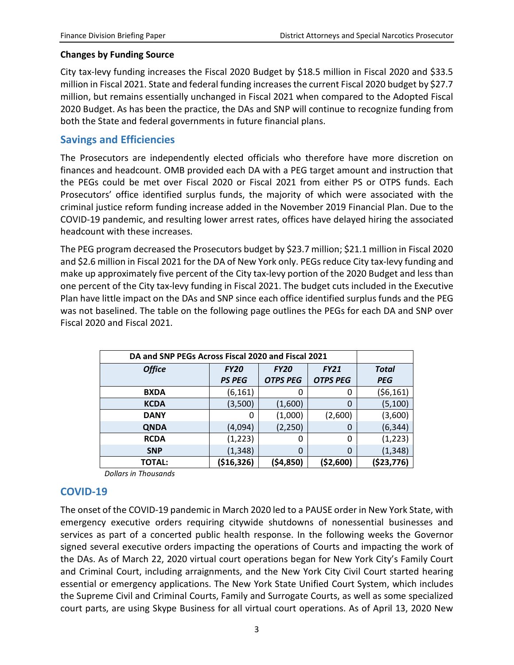#### **Changes by Funding Source**

City tax-levy funding increases the Fiscal 2020 Budget by \$18.5 million in Fiscal 2020 and \$33.5 million in Fiscal 2021. State and federal funding increases the current Fiscal 2020 budget by \$27.7 million, but remains essentially unchanged in Fiscal 2021 when compared to the Adopted Fiscal 2020 Budget. As has been the practice, the DAs and SNP will continue to recognize funding from both the State and federal governments in future financial plans.

#### **Savings and Efficiencies**

The Prosecutors are independently elected officials who therefore have more discretion on finances and headcount. OMB provided each DA with a PEG target amount and instruction that the PEGs could be met over Fiscal 2020 or Fiscal 2021 from either PS or OTPS funds. Each Prosecutors' office identified surplus funds, the majority of which were associated with the criminal justice reform funding increase added in the November 2019 Financial Plan. Due to the COVID-19 pandemic, and resulting lower arrest rates, offices have delayed hiring the associated headcount with these increases.

The PEG program decreased the Prosecutors budget by \$23.7 million; \$21.1 million in Fiscal 2020 and \$2.6 million in Fiscal 2021 for the DA of New York only. PEGs reduce City tax-levy funding and make up approximately five percent of the City tax-levy portion of the 2020 Budget and less than one percent of the City tax-levy funding in Fiscal 2021. The budget cuts included in the Executive Plan have little impact on the DAs and SNP since each office identified surplus funds and the PEG was not baselined. The table on the following page outlines the PEGs for each DA and SNP over Fiscal 2020 and Fiscal 2021.

| DA and SNP PEGs Across Fiscal 2020 and Fiscal 2021 |               |                            |                 |            |  |
|----------------------------------------------------|---------------|----------------------------|-----------------|------------|--|
| <b>Office</b>                                      | <b>FY20</b>   | <b>FY20</b><br><b>FY21</b> |                 | Total      |  |
|                                                    | <b>PS PEG</b> | <b>OTPS PEG</b>            | <b>OTPS PEG</b> | <b>PEG</b> |  |
| <b>BXDA</b>                                        | (6, 161)      | 0                          | 0               | (\$6,161)  |  |
| <b>KCDA</b>                                        | (3,500)       | (1,600)                    | 0               | (5, 100)   |  |
| <b>DANY</b>                                        | 0             | (1,000)                    | (2,600)         | (3,600)    |  |
| <b>QNDA</b>                                        | (4,094)       | (2, 250)                   | 0               | (6, 344)   |  |
| <b>RCDA</b>                                        | (1, 223)      | 0                          | 0               | (1, 223)   |  |
| <b>SNP</b>                                         | (1, 348)      | 0                          | 0               | (1, 348)   |  |
| TOTAL:                                             | (\$16,326)    | (\$4,850)                  | (\$2,600)       | (\$23,776) |  |

*Dollars in Thousands*

#### **COVID-19**

The onset of the COVID-19 pandemic in March 2020 led to a PAUSE order in New York State, with emergency executive orders requiring citywide shutdowns of nonessential businesses and services as part of a concerted public health response. In the following weeks the Governor signed several executive orders impacting the operations of Courts and impacting the work of the DAs. As of March 22, 2020 virtual court operations began for New York City's Family Court and Criminal Court, including arraignments, and the New York City Civil Court started hearing essential or emergency applications. The New York State Unified Court System, which includes the Supreme Civil and Criminal Courts, Family and Surrogate Courts, as well as some specialized court parts, are using Skype Business for all virtual court operations. As of April 13, 2020 New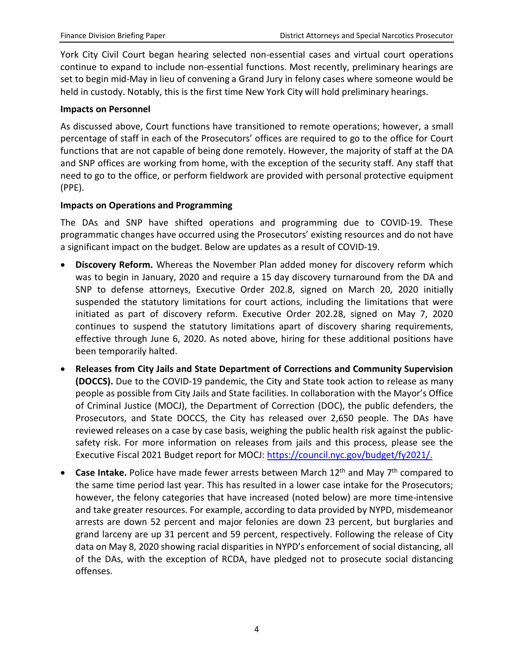York City Civil Court began hearing selected non-essential cases and virtual court operations continue to expand to include non-essential functions. Most recently, preliminary hearings are set to begin mid-May in lieu of convening a Grand Jury in felony cases where someone would be held in custody. Notably, this is the first time New York City will hold preliminary hearings.

#### **Impacts on Personnel**

As discussed above, Court functions have transitioned to remote operations; however, a small percentage of staff in each of the Prosecutors' offices are required to go to the office for Court functions that are not capable of being done remotely. However, the majority of staff at the DA and SNP offices are working from home, with the exception of the security staff. Any staff that need to go to the office, or perform fieldwork are provided with personal protective equipment (PPE).

#### **Impacts on Operations and Programming**

The DAs and SNP have shifted operations and programming due to COVID-19. These programmatic changes have occurred using the Prosecutors' existing resources and do not have a significant impact on the budget. Below are updates as a result of COVID-19.

- **Discovery Reform.** Whereas the November Plan added money for discovery reform which was to begin in January, 2020 and require a 15 day discovery turnaround from the DA and SNP to defense attorneys, Executive Order 202.8, signed on March 20, 2020 initially suspended the statutory limitations for court actions, including the limitations that were initiated as part of discovery reform. Executive Order 202.28, signed on May 7, 2020 continues to suspend the statutory limitations apart of discovery sharing requirements, effective through June 6, 2020. As noted above, hiring for these additional positions have been temporarily halted.
- **Releases from City Jails and State Department of Corrections and Community Supervision (DOCCS).** Due to the COVID-19 pandemic, the City and State took action to release as many people as possible from City Jails and State facilities. In collaboration with the Mayor's Office of Criminal Justice (MOCJ), the Department of Correction (DOC), the public defenders, the Prosecutors, and State DOCCS, the City has released over 2,650 people. The DAs have reviewed releases on a case by case basis, weighing the public health risk against the publicsafety risk. For more information on releases from jails and this process, please see the Executive Fiscal 2021 Budget report for MOCJ: [https://council.nyc.gov/budget/fy2021/.](https://council.nyc.gov/budget/fy2021/)
- **Case Intake.** Police have made fewer arrests between March 12<sup>th</sup> and May 7<sup>th</sup> compared to the same time period last year. This has resulted in a lower case intake for the Prosecutors; however, the felony categories that have increased (noted below) are more time-intensive and take greater resources. For example, according to data provided by NYPD, misdemeanor arrests are down 52 percent and major felonies are down 23 percent, but burglaries and grand larceny are up 31 percent and 59 percent, respectively. Following the release of City data on May 8, 2020 showing racial disparities in NYPD's enforcement of social distancing, all of the DAs, with the exception of RCDA, have pledged not to prosecute social distancing offenses.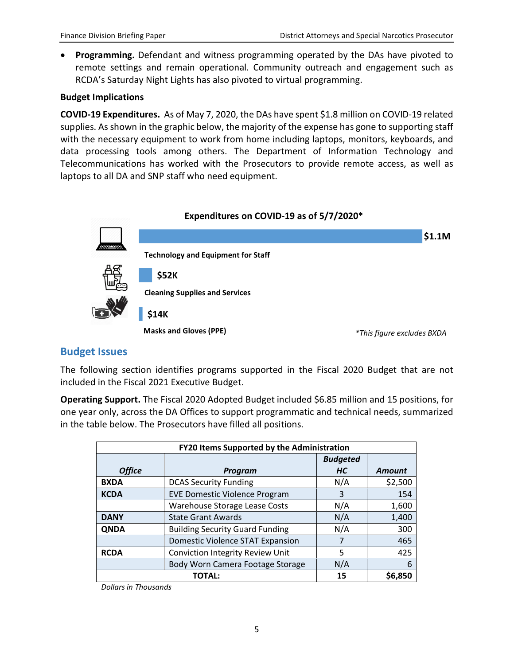• **Programming.** Defendant and witness programming operated by the DAs have pivoted to remote settings and remain operational. Community outreach and engagement such as RCDA's Saturday Night Lights has also pivoted to virtual programming.

#### **Budget Implications**

**COVID-19 Expenditures.** As of May 7, 2020, the DAs have spent \$1.8 million on COVID-19 related supplies. As shown in the graphic below, the majority of the expense has gone to supporting staff with the necessary equipment to work from home including laptops, monitors, keyboards, and data processing tools among others. The Department of Information Technology and Telecommunications has worked with the Prosecutors to provide remote access, as well as laptops to all DA and SNP staff who need equipment.



#### **Budget Issues**

The following section identifies programs supported in the Fiscal 2020 Budget that are not included in the Fiscal 2021 Executive Budget.

**Operating Support.** The Fiscal 2020 Adopted Budget included \$6.85 million and 15 positions, for one year only, across the DA Offices to support programmatic and technical needs, summarized in the table below. The Prosecutors have filled all positions.

| <b>FY20 Items Supported by the Administration</b> |                                         |                 |               |  |  |
|---------------------------------------------------|-----------------------------------------|-----------------|---------------|--|--|
|                                                   |                                         | <b>Budgeted</b> |               |  |  |
| <b>Office</b>                                     | <b>Program</b>                          | <b>HC</b>       | <b>Amount</b> |  |  |
| <b>BXDA</b>                                       | <b>DCAS Security Funding</b>            | N/A             | \$2,500       |  |  |
| <b>KCDA</b>                                       | <b>EVE Domestic Violence Program</b>    | 3               | 154           |  |  |
|                                                   | Warehouse Storage Lease Costs           | N/A             | 1,600         |  |  |
| <b>DANY</b>                                       | <b>State Grant Awards</b>               | N/A             | 1,400         |  |  |
| <b>ONDA</b>                                       | <b>Building Security Guard Funding</b>  | N/A             | 300           |  |  |
|                                                   | <b>Domestic Violence STAT Expansion</b> |                 | 465           |  |  |
| <b>RCDA</b>                                       | Conviction Integrity Review Unit        | 5               | 425           |  |  |
|                                                   | Body Worn Camera Footage Storage        | N/A             | 6             |  |  |
|                                                   | <b>TOTAL:</b>                           | 15              | \$6,850       |  |  |

*Dollars in Thousands*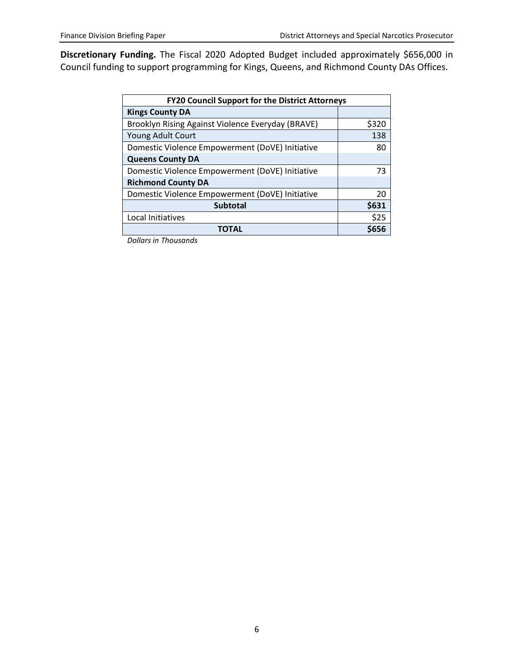**Discretionary Funding.** The Fiscal 2020 Adopted Budget included approximately \$656,000 in Council funding to support programming for Kings, Queens, and Richmond County DAs Offices.

| <b>FY20 Council Support for the District Attorneys</b> |       |  |  |  |
|--------------------------------------------------------|-------|--|--|--|
| <b>Kings County DA</b>                                 |       |  |  |  |
| Brooklyn Rising Against Violence Everyday (BRAVE)      | \$320 |  |  |  |
| Young Adult Court                                      | 138   |  |  |  |
| Domestic Violence Empowerment (DoVE) Initiative        | 80    |  |  |  |
| <b>Queens County DA</b>                                |       |  |  |  |
| Domestic Violence Empowerment (DoVE) Initiative        | 73    |  |  |  |
| <b>Richmond County DA</b>                              |       |  |  |  |
| Domestic Violence Empowerment (DoVE) Initiative        | 20    |  |  |  |
| <b>Subtotal</b>                                        | \$631 |  |  |  |
| Local Initiatives                                      | \$25  |  |  |  |
| TOTAL                                                  | \$656 |  |  |  |

*Dollars in Thousands*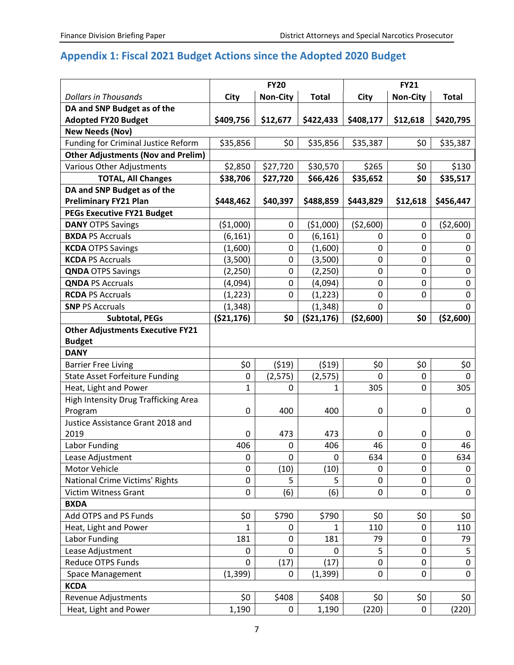## **Appendix 1: Fiscal 2021 Budget Actions since the Adopted 2020 Budget**

|                                            | <b>FY20</b>  |                 |              | <b>FY21</b> |                 |              |
|--------------------------------------------|--------------|-----------------|--------------|-------------|-----------------|--------------|
| <b>Dollars in Thousands</b>                | City         | <b>Non-City</b> | <b>Total</b> | City        | <b>Non-City</b> | <b>Total</b> |
| DA and SNP Budget as of the                |              |                 |              |             |                 |              |
| <b>Adopted FY20 Budget</b>                 | \$409,756    | \$12,677        | \$422,433    | \$408,177   | \$12,618        | \$420,795    |
| <b>New Needs (Nov)</b>                     |              |                 |              |             |                 |              |
| <b>Funding for Criminal Justice Reform</b> | \$35,856     | \$0             | \$35,856     | \$35,387    | \$0             | \$35,387     |
| <b>Other Adjustments (Nov and Prelim)</b>  |              |                 |              |             |                 |              |
| <b>Various Other Adjustments</b>           | \$2,850      | \$27,720        | \$30,570     | \$265       | \$0             | \$130        |
| <b>TOTAL, All Changes</b>                  | \$38,706     | \$27,720        | \$66,426     | \$35,652    | \$0             | \$35,517     |
| DA and SNP Budget as of the                |              |                 |              |             |                 |              |
| <b>Preliminary FY21 Plan</b>               | \$448,462    | \$40,397        | \$488,859    | \$443,829   | \$12,618        | \$456,447    |
| <b>PEGs Executive FY21 Budget</b>          |              |                 |              |             |                 |              |
| <b>DANY OTPS Savings</b>                   | ( \$1,000)   | 0               | ( \$1,000)   | (52,600)    | 0               | (52,600)     |
| <b>BXDA PS Accruals</b>                    | (6, 161)     | 0               | (6, 161)     | 0           | $\mathbf{0}$    | 0            |
| <b>KCDA OTPS Savings</b>                   | (1,600)      | 0               | (1,600)      | $\mathbf 0$ | 0               | 0            |
| <b>KCDA PS Accruals</b>                    | (3,500)      | 0               | (3,500)      | 0           | $\mathbf 0$     | $\pmb{0}$    |
| <b>QNDA OTPS Savings</b>                   | (2, 250)     | 0               | (2, 250)     | $\mathbf 0$ | $\mathbf 0$     | 0            |
| <b>QNDA PS Accruals</b>                    | (4,094)      | 0               | (4,094)      | 0           | $\mathbf 0$     | 0            |
| <b>RCDA PS Accruals</b>                    | (1, 223)     | 0               | (1, 223)     | 0           | 0               | 0            |
| <b>SNP PS Accruals</b>                     | (1, 348)     |                 | (1, 348)     | $\mathbf 0$ |                 | 0            |
| <b>Subtotal, PEGs</b>                      | ( \$21,176)  | \$0             | ( \$21,176)  | ( \$2,600)  | \$0             | ( \$2,600)   |
| <b>Other Adjustments Executive FY21</b>    |              |                 |              |             |                 |              |
| <b>Budget</b>                              |              |                 |              |             |                 |              |
| <b>DANY</b>                                |              |                 |              |             |                 |              |
| <b>Barrier Free Living</b>                 | \$0          | (519)           | (519)        | \$0         | \$0             | \$0          |
| <b>State Asset Forfeiture Funding</b>      | 0            | (2, 575)        | (2, 575)     | 0           | 0               | 0            |
| Heat, Light and Power                      | 1            | 0               | 1            | 305         | 0               | 305          |
| High Intensity Drug Trafficking Area       |              |                 |              |             |                 |              |
| Program                                    | 0            | 400             | 400          | 0           | 0               | 0            |
| Justice Assistance Grant 2018 and          |              |                 |              |             |                 |              |
| 2019                                       | 0            | 473             | 473          | $\Omega$    | 0               | 0            |
| Labor Funding                              | 406          | 0               | 406          | 46          | $\mathbf 0$     | 46           |
| Lease Adjustment                           | 0            | 0               | 0            | 634         | 0               | 634          |
| Motor Vehicle                              | $\mathbf 0$  | (10)            | (10)         | 0           | 0               | 0            |
| National Crime Victims' Rights             | 0            | 5               | 5            | 0           | $\mathbf 0$     | 0            |
| <b>Victim Witness Grant</b>                | 0            | (6)             | (6)          | 0           | 0               | 0            |
| <b>BXDA</b>                                |              |                 |              |             |                 |              |
| Add OTPS and PS Funds                      | \$0          | \$790           | \$790        | \$0         | \$0             | \$0          |
| Heat, Light and Power                      | 1            | 0               | 1            | 110         | 0               | 110          |
| Labor Funding                              | 181          | 0               | 181          | 79          | 0               | 79           |
| Lease Adjustment                           | 0            | 0               | 0            | 5           | $\mathbf 0$     | 5            |
| Reduce OTPS Funds                          | $\mathbf{0}$ | (17)            | (17)         | 0           | 0               | $\mathbf 0$  |
| <b>Space Management</b>                    | (1, 399)     | 0               | (1, 399)     | 0           | 0               | 0            |
| <b>KCDA</b>                                |              |                 |              |             |                 |              |
| Revenue Adjustments                        | \$0          | \$408           | \$408        | \$0         | \$0             | \$0          |
| Heat, Light and Power                      | 1,190        | 0               | 1,190        | (220)       | $\mathbf 0$     | (220)        |